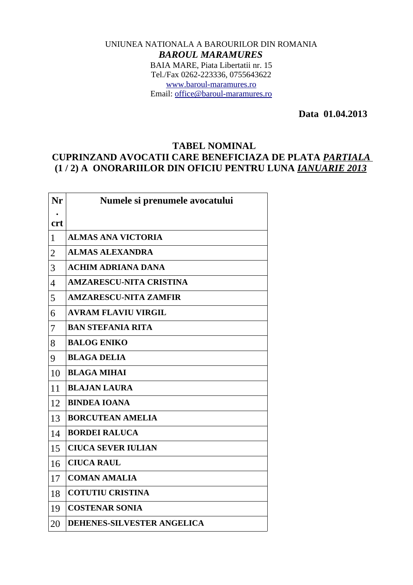## UNIUNEA NATIONALA A BAROURILOR DIN ROMANIA *BAROUL MARAMURES* BAIA MARE, Piata Libertatii nr. 15 Tel./Fax 0262-223336, 0755643622 [www.baroul-maramures.ro](http://www.baroul-maramures.ro/) Email: [office@baroul-maramures.ro](mailto:office@baroul-maramures.ro)

 **Data 01.04.2013**

## **TABEL NOMINAL**

## **CUPRINZAND AVOCATII CARE BENEFICIAZA DE PLATA** *PARTIALA* **(1 / 2) A ONORARIILOR DIN OFICIU PENTRU LUNA** *IANUARIE 2013*

| Nr             | Numele si prenumele avocatului    |
|----------------|-----------------------------------|
| <b>crt</b>     |                                   |
| $\mathbf{1}$   | <b>ALMAS ANA VICTORIA</b>         |
| $\overline{2}$ | <b>ALMAS ALEXANDRA</b>            |
| 3              | <b>ACHIM ADRIANA DANA</b>         |
| $\overline{4}$ | <b>AMZARESCU-NITA CRISTINA</b>    |
| 5              | <b>AMZARESCU-NITA ZAMFIR</b>      |
| 6              | <b>AVRAM FLAVIU VIRGIL</b>        |
| 7              | <b>BAN STEFANIA RITA</b>          |
| 8              | <b>BALOG ENIKO</b>                |
| 9              | <b>BLAGA DELIA</b>                |
| 10             | <b>BLAGA MIHAI</b>                |
| 11             | <b>BLAJAN LAURA</b>               |
| 12             | <b>BINDEA IOANA</b>               |
| 13             | <b>BORCUTEAN AMELIA</b>           |
| 14             | <b>BORDEI RALUCA</b>              |
| 15             | <b>CIUCA SEVER IULIAN</b>         |
| 16             | <b>CIUCA RAUL</b>                 |
| 17             | <b>COMAN AMALIA</b>               |
| 18             | <b>COTUTIU CRISTINA</b>           |
| 19             | <b>COSTENAR SONIA</b>             |
| 20             | <b>DEHENES-SILVESTER ANGELICA</b> |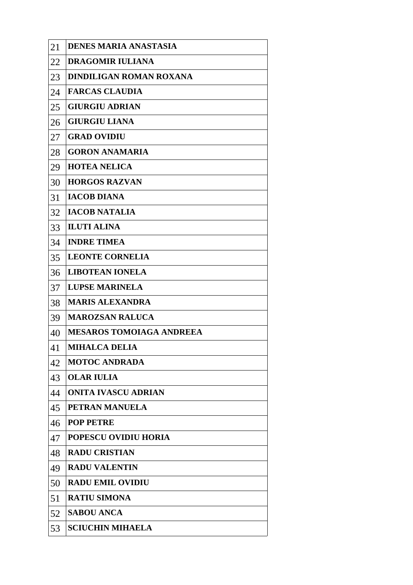| 21 | <b>DENES MARIA ANASTASIA</b>    |
|----|---------------------------------|
| 22 | DRAGOMIR IULIANA                |
| 23 | <b>DINDILIGAN ROMAN ROXANA</b>  |
| 24 | <b>FARCAS CLAUDIA</b>           |
| 25 | <b>GIURGIU ADRIAN</b>           |
| 26 | <b>GIURGIU LIANA</b>            |
| 27 | <b>GRAD OVIDIU</b>              |
| 28 | <b>GORON ANAMARIA</b>           |
| 29 | <b>HOTEA NELICA</b>             |
| 30 | <b>HORGOS RAZVAN</b>            |
| 31 | <b>IACOB DIANA</b>              |
| 32 | <b>IACOB NATALIA</b>            |
| 33 | <b>ILUTI ALINA</b>              |
| 34 | <b>INDRE TIMEA</b>              |
| 35 | <b>LEONTE CORNELIA</b>          |
| 36 | <b>LIBOTEAN IONELA</b>          |
| 37 | <b>LUPSE MARINELA</b>           |
| 38 | <b>MARIS ALEXANDRA</b>          |
| 39 | <b>MAROZSAN RALUCA</b>          |
| 40 | <b>MESAROS TOMOIAGA ANDREEA</b> |
| 41 | <b>MIHALCA DELIA</b>            |
| 42 | <b>MOTOC ANDRADA</b>            |
| 43 | <b>OLAR IULIA</b>               |
| 44 | <b>ONITA IVASCU ADRIAN</b>      |
| 45 | <b>PETRAN MANUELA</b>           |
| 46 | <b>POP PETRE</b>                |
| 47 | <b>POPESCU OVIDIU HORIA</b>     |
| 48 | <b>RADU CRISTIAN</b>            |
| 49 | <b>RADU VALENTIN</b>            |
| 50 | <b>RADU EMIL OVIDIU</b>         |
| 51 | <b>RATIU SIMONA</b>             |
| 52 | <b>SABOU ANCA</b>               |
| 53 | <b>SCIUCHIN MIHAELA</b>         |